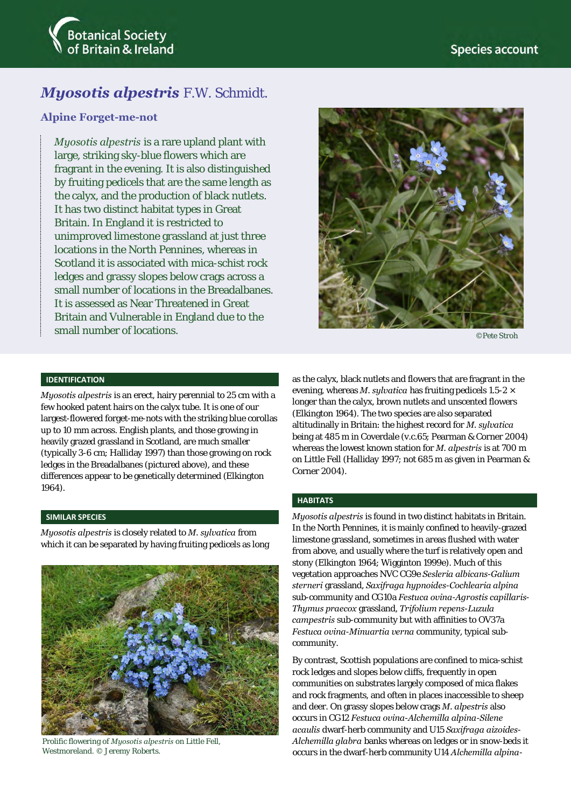

# *Myosotis alpestris* F.W. Schmidt.

### **Alpine Forget-me-not**

*Myosotis alpestris* is a rare upland plant with large, striking sky-blue flowers which are fragrant in the evening. It is also distinguished by fruiting pedicels that are the same length as the calyx, and the production of black nutlets. It has two distinct habitat types in Great Britain. In England it is restricted to unimproved limestone grassland at just three locations in the North Pennines, whereas in Scotland it is associated with mica-schist rock ledges and grassy slopes below crags across a small number of locations in the Breadalbanes. It is assessed as Near Threatened in Great Britain and Vulnerable in England due to the small number of locations.



©Pete Stroh

### **IDENTIFICATION**

*Myosotis alpestris* is an erect, hairy perennial to 25 cm with a few hooked patent hairs on the calyx tube. It is one of our largest-flowered forget-me-nots with the striking blue corollas up to 10 mm across. English plants, and those growing in heavily grazed grassland in Scotland, are much smaller (typically 3-6 cm; Halliday 1997) than those growing on rock ledges in the Breadalbanes (pictured above), and these differences appear to be genetically determined (Elkington 1964).

### **SIMILAR SPECIES**

*Myosotis alpestris* is closely related to *M. sylvatica* from which it can be separated by having fruiting pedicels as long



Prolific flowering of *Myosotis alpestris* on Little Fell, Westmoreland. © Jeremy Roberts.

as the calyx, black nutlets and flowers that are fragrant in the evening, whereas *M. sylvatica* has fruiting pedicels 1.5-2 × longer than the calyx, brown nutlets and unscented flowers (Elkington 1964). The two species are also separated altitudinally in Britain: the highest record for *M. sylvatica* being at 485 m in Coverdale (v.c.65; Pearman & Corner 2004) whereas the lowest known station for *M. alpestris* is at 700 m on Little Fell (Halliday 1997; not 685 m as given in Pearman & Corner 2004).

### **HABITATS**

*Myosotis alpestris* is found in two distinct habitats in Britain. In the North Pennines, it is mainly confined to heavily-grazed limestone grassland, sometimes in areas flushed with water from above, and usually where the turf is relatively open and stony (Elkington 1964; Wigginton 1999e). Much of this vegetation approaches NVC CG9e *Sesleria albicans*-*Galium sterneri* grassland, *Saxifraga hypnoides*-*Cochlearia alpina* sub-community and CG10a *Festuca ovina*-*Agrostis capillaris*-*Thymus praecox* grassland, *Trifolium repens*-*Luzula campestris* sub-community but with affinities to OV37a *Festuca ovina*-*Minuartia verna* community, typical subcommunity.

By contrast, Scottish populations are confined to mica-schist rock ledges and slopes below cliffs, frequently in open communities on substrates largely composed of mica flakes and rock fragments, and often in places inaccessible to sheep and deer. On grassy slopes below crags *M. alpestris* also occurs in CG12 *Festuca ovina*-*Alchemilla alpina*-*Silene acaulis* dwarf-herb community and U15 *Saxifraga aizoides*-*Alchemilla glabra* banks whereas on ledges or in snow-beds it occurs in the dwarf-herb community U14 *Alchemilla alpina*-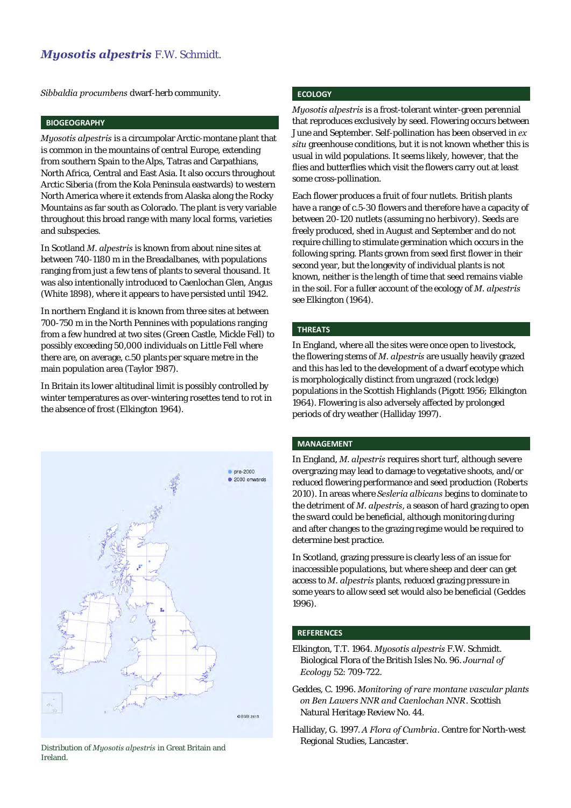## *Myosotis alpestris* F.W. Schmidt.

*Sibbaldia procumbens* dwarf-herb community.

### **BIOGEOGRAPHY**

*Myosotis alpestris* is a circumpolar Arctic-montane plant that is common in the mountains of central Europe, extending from southern Spain to the Alps, Tatras and Carpathians, North Africa, Central and East Asia. It also occurs throughout Arctic Siberia (from the Kola Peninsula eastwards) to western North America where it extends from Alaska along the Rocky Mountains as far south as Colorado. The plant is very variable throughout this broad range with many local forms, varieties and subspecies.

In Scotland *M. alpestris* is known from about nine sites at between 740-1180 m in the Breadalbanes, with populations ranging from just a few tens of plants to several thousand. It was also intentionally introduced to Caenlochan Glen, Angus (White 1898), where it appears to have persisted until 1942.

In northern England it is known from three sites at between 700-750 m in the North Pennines with populations ranging from a few hundred at two sites (Green Castle, Mickle Fell) to possibly exceeding 50,000 individuals on Little Fell where there are, on average, c.50 plants per square metre in the main population area (Taylor 1987).

In Britain its lower altitudinal limit is possibly controlled by winter temperatures as over-wintering rosettes tend to rot in the absence of frost (Elkington 1964).



Distribution of *Myosotis alpestris* in Great Britain and Ireland.

### **ECOLOGY**

*Myosotis alpestris* is a frost-tolerant winter-green perennial that reproduces exclusively by seed. Flowering occurs between June and September. Self-pollination has been observed in *ex situ* greenhouse conditions, but it is not known whether this is usual in wild populations. It seems likely, however, that the flies and butterflies which visit the flowers carry out at least some cross-pollination.

Each flower produces a fruit of four nutlets. British plants have a range of c.5-30 flowers and therefore have a capacity of between 20-120 nutlets (assuming no herbivory). Seeds are freely produced, shed in August and September and do not require chilling to stimulate germination which occurs in the following spring. Plants grown from seed first flower in their second year, but the longevity of individual plants is not known, neither is the length of time that seed remains viable in the soil. For a fuller account of the ecology of *M. alpestris* see Elkington (1964).

### **THREATS**

In England, where all the sites were once open to livestock, the flowering stems of *M. alpestris* are usually heavily grazed and this has led to the development of a dwarf ecotype which is morphologically distinct from ungrazed (rock ledge) populations in the Scottish Highlands (Pigott 1956; Elkington 1964). Flowering is also adversely affected by prolonged periods of dry weather (Halliday 1997).

### **MANAGEMENT**

In England, *M. alpestris* requires short turf, although severe overgrazing may lead to damage to vegetative shoots, and/or reduced flowering performance and seed production (Roberts 2010). In areas where *Sesleria albicans* begins to dominate to the detriment of *M. alpestris*, a season of hard grazing to open the sward could be beneficial, although monitoring during and after changes to the grazing regime would be required to determine best practice.

In Scotland, grazing pressure is clearly less of an issue for inaccessible populations, but where sheep and deer can get access to *M. alpestris* plants, reduced grazing pressure in some years to allow seed set would also be beneficial (Geddes 1996).

### **REFERENCES**

- Elkington, T.T. 1964. *Myosotis alpestris* F.W. Schmidt. Biological Flora of the British Isles No. 96. *Journal of Ecology* 52: 709-722.
- Geddes, C. 1996. *Monitoring of rare montane vascular plants on Ben Lawers NNR and Caenlochan NNR*. Scottish Natural Heritage Review No. 44.
- Halliday, G. 1997. *A Flora of Cumbria*. Centre for North-west Regional Studies, Lancaster.